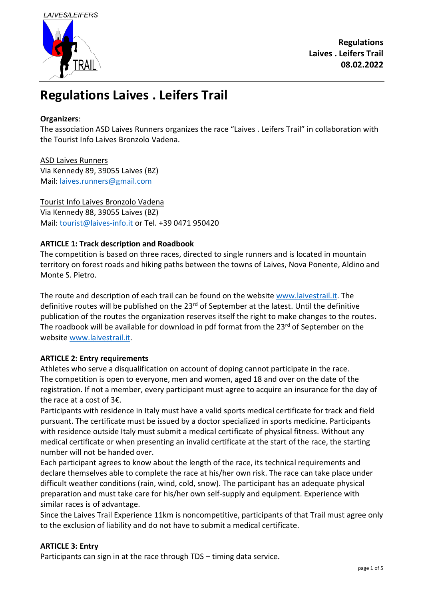

# **Organizers**:

The association ASD Laives Runners organizes the race "Laives . Leifers Trail" in collaboration with the Tourist Info Laives Bronzolo Vadena.

ASD Laives Runners Via Kennedy 89, 39055 Laives (BZ) Mail: [laives.runners@gmail.com](mailto:laives.runners@gmail.com)

Tourist Info Laives Bronzolo Vadena Via Kennedy 88, 39055 Laives (BZ) Mail: [tourist@laives-info.it](mailto:tourist@laives-info.it) or Tel. +39 0471 950420

# **ARTICLE 1: Track description and Roadbook**

The competition is based on three races, directed to single runners and is located in mountain territory on forest roads and hiking paths between the towns of Laives, Nova Ponente, Aldino and Monte S. Pietro.

The route and description of each trail can be found on the website [www.laivestrail.i](http://www.laivestrail./)t. The definitive routes will be published on the 23<sup>rd</sup> of September at the latest. Until the definitive publication of the routes the organization reserves itself the right to make changes to the routes. The roadbook will be available for download in pdf format from the 23<sup>rd</sup> of September on the website www.laivestrail.it.

# **ARTICLE 2: Entry requirements**

Athletes who serve a disqualification on account of doping cannot participate in the race. The competition is open to everyone, men and women, aged 18 and over on the date of the registration. If not a member, every participant must agree to acquire an insurance for the day of the race at a cost of 3€.

Participants with residence in Italy must have a valid sports medical certificate for track and field pursuant. The certificate must be issued by a doctor specialized in sports medicine. Participants with residence outside Italy must submit a medical certificate of physical fitness. Without any medical certificate or when presenting an invalid certificate at the start of the race, the starting number will not be handed over.

Each participant agrees to know about the length of the race, its technical requirements and declare themselves able to complete the race at his/her own risk. The race can take place under difficult weather conditions (rain, wind, cold, snow). The participant has an adequate physical preparation and must take care for his/her own self-supply and equipment. Experience with similar races is of advantage.

Since the Laives Trail Experience 11km is noncompetitive, participants of that Trail must agree only to the exclusion of liability and do not have to submit a medical certificate.

# **ARTICLE 3: Entry**

Participants can sign in at the race through TDS – timing data service.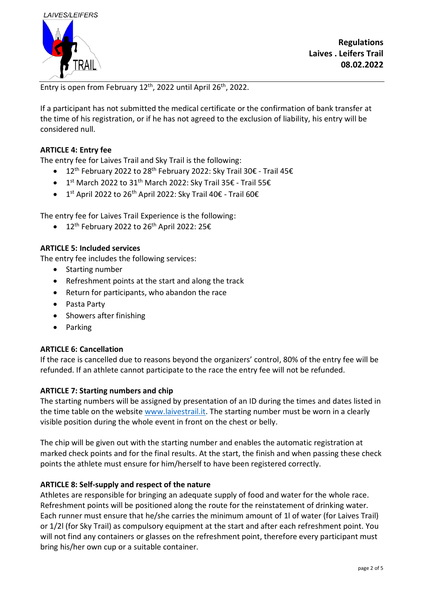

Entry is open from February 12<sup>th</sup>, 2022 until April 26<sup>th</sup>, 2022.

If a participant has not submitted the medical certificate or the confirmation of bank transfer at the time of his registration, or if he has not agreed to the exclusion of liability, his entry will be considered null.

# **ARTICLE 4: Entry fee**

The entry fee for Laives Trail and Sky Trail is the following:

- 12th February 2022 to 28th February 2022: Sky Trail 30€ Trail 45€
- 1<sup>st</sup> March 2022 to 31<sup>th</sup> March 2022: Sky Trail 35€ Trail 55€
- $\bullet$ 1<sup>st</sup> April 2022 to 26<sup>th</sup> April 2022: Sky Trail 40€ - Trail 60€

The entry fee for Laives Trail Experience is the following:

 $\bullet$  12<sup>th</sup> February 2022 to 26<sup>th</sup> April 2022: 25€

# **ARTICLE 5: Included services**

The entry fee includes the following services:

- Starting number
- Refreshment points at the start and along the track
- Return for participants, who abandon the race
- Pasta Party
- Showers after finishing
- Parking

# **ARTICLE 6: Cancellation**

If the race is cancelled due to reasons beyond the organizers' control, 80% of the entry fee will be refunded. If an athlete cannot participate to the race the entry fee will not be refunded.

# **ARTICLE 7: Starting numbers and chip**

The starting numbers will be assigned by presentation of an ID during the times and dates listed in the time table on the website www.laivestrail.it. The starting number must be worn in a clearly visible position during the whole event in front on the chest or belly.

The chip will be given out with the starting number and enables the automatic registration at marked check points and for the final results. At the start, the finish and when passing these check points the athlete must ensure for him/herself to have been registered correctly.

# **ARTICLE 8: Self-supply and respect of the nature**

Athletes are responsible for bringing an adequate supply of food and water for the whole race. Refreshment points will be positioned along the route for the reinstatement of drinking water. Each runner must ensure that he/she carries the minimum amount of 1l of water (for Laives Trail) or 1/2l (for Sky Trail) as compulsory equipment at the start and after each refreshment point. You will not find any containers or glasses on the refreshment point, therefore every participant must bring his/her own cup or a suitable container.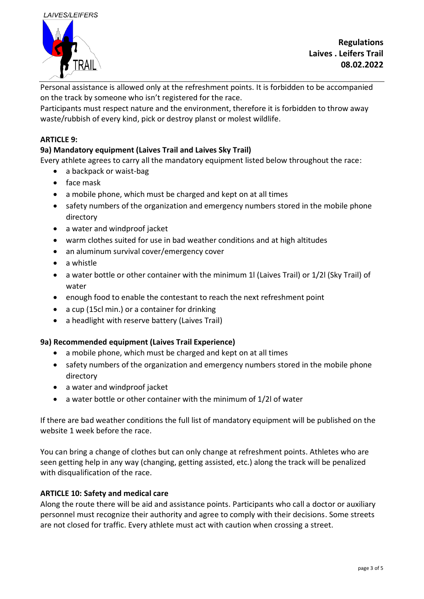

Personal assistance is allowed only at the refreshment points. It is forbidden to be accompanied on the track by someone who isn't registered for the race.

Participants must respect nature and the environment, therefore it is forbidden to throw away waste/rubbish of every kind, pick or destroy planst or molest wildlife.

# **ARTICLE 9:**

# **9a) Mandatory equipment (Laives Trail and Laives Sky Trail)**

Every athlete agrees to carry all the mandatory equipment listed below throughout the race:

- a backpack or waist-bag
- face mask
- a mobile phone, which must be charged and kept on at all times
- safety numbers of the organization and emergency numbers stored in the mobile phone directory
- a water and windproof jacket
- warm clothes suited for use in bad weather conditions and at high altitudes
- an aluminum survival cover/emergency cover
- a whistle
- a water bottle or other container with the minimum 1l (Laives Trail) or 1/2l (Sky Trail) of water
- enough food to enable the contestant to reach the next refreshment point
- a cup (15cl min.) or a container for drinking
- a headlight with reserve battery (Laives Trail)

# **9a) Recommended equipment (Laives Trail Experience)**

- a mobile phone, which must be charged and kept on at all times
- safety numbers of the organization and emergency numbers stored in the mobile phone directory
- a water and windproof jacket
- a water bottle or other container with the minimum of 1/2l of water

If there are bad weather conditions the full list of mandatory equipment will be published on the website 1 week before the race.

You can bring a change of clothes but can only change at refreshment points. Athletes who are seen getting help in any way (changing, getting assisted, etc.) along the track will be penalized with disqualification of the race.

# **ARTICLE 10: Safety and medical care**

Along the route there will be aid and assistance points. Participants who call a doctor or auxiliary personnel must recognize their authority and agree to comply with their decisions. Some streets are not closed for traffic. Every athlete must act with caution when crossing a street.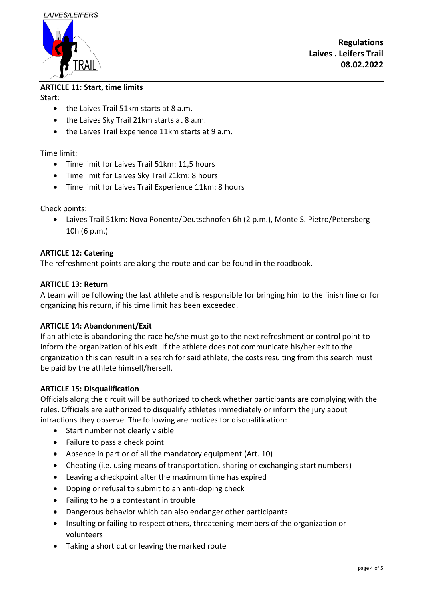# **ARTICLE 11: Start, time limits**

# Start:

- the Laives Trail 51km starts at 8 a.m.
- the Laives Sky Trail 21km starts at 8 a.m.
- the Laives Trail Experience 11km starts at 9 a.m.

# Time limit:

- Time limit for Laives Trail 51km: 11,5 hours
- Time limit for Laives Sky Trail 21km: 8 hours
- Time limit for Laives Trail Experience 11km: 8 hours

Check points:

 Laives Trail 51km: Nova Ponente/Deutschnofen 6h (2 p.m.), Monte S. Pietro/Petersberg 10h (6 p.m.)

# **ARTICLE 12: Catering**

The refreshment points are along the route and can be found in the roadbook.

# **ARTICLE 13: Return**

A team will be following the last athlete and is responsible for bringing him to the finish line or for organizing his return, if his time limit has been exceeded.

# **ARTICLE 14: Abandonment/Exit**

If an athlete is abandoning the race he/she must go to the next refreshment or control point to inform the organization of his exit. If the athlete does not communicate his/her exit to the organization this can result in a search for said athlete, the costs resulting from this search must be paid by the athlete himself/herself.

# **ARTICLE 15: Disqualification**

Officials along the circuit will be authorized to check whether participants are complying with the rules. Officials are authorized to disqualify athletes immediately or inform the jury about infractions they observe. The following are motives for disqualification:

- Start number not clearly visible
- Failure to pass a check point
- Absence in part or of all the mandatory equipment (Art. 10)
- Cheating (i.e. using means of transportation, sharing or exchanging start numbers)
- Leaving a checkpoint after the maximum time has expired
- Doping or refusal to submit to an anti-doping check
- Failing to help a contestant in trouble
- Dangerous behavior which can also endanger other participants
- Insulting or failing to respect others, threatening members of the organization or volunteers
- Taking a short cut or leaving the marked route